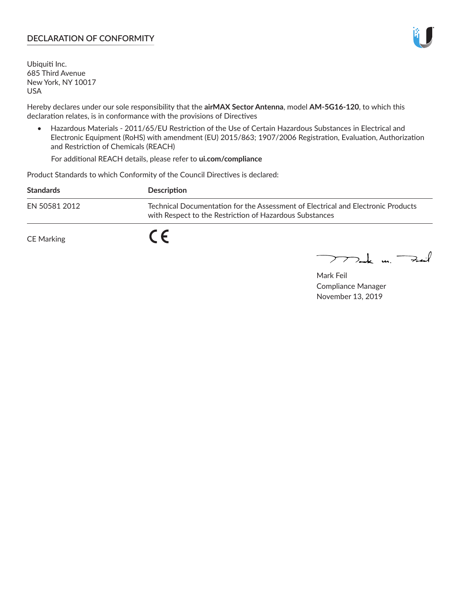## **DECLARATION OF CONFORMITY**

Ubiquiti Inc. 685 Third Avenue New York, NY 10017 USA

Hereby declares under our sole responsibility that the **airMAX Sector Antenna**, model **AM-5G16-120**, to which this declaration relates, is in conformance with the provisions of Directives

• Hazardous Materials - 2011/65/EU Restriction of the Use of Certain Hazardous Substances in Electrical and Electronic Equipment (RoHS) with amendment (EU) 2015/863; 1907/2006 Registration, Evaluation, Authorization and Restriction of Chemicals (REACH)

For additional REACH details, please refer to **ui.com/compliance**

Product Standards to which Conformity of the Council Directives is declared:

| <b>Standards</b>  | Description                                                                                                                                 |
|-------------------|---------------------------------------------------------------------------------------------------------------------------------------------|
| EN 50581 2012     | Technical Documentation for the Assessment of Electrical and Electronic Products<br>with Respect to the Restriction of Hazardous Substances |
| <b>CE Marking</b> |                                                                                                                                             |

 $\sum_{n=1}^{\infty}$  un  $\sum_{n=1}^{\infty}$ 

Mark Feil Compliance Manager November 13, 2019

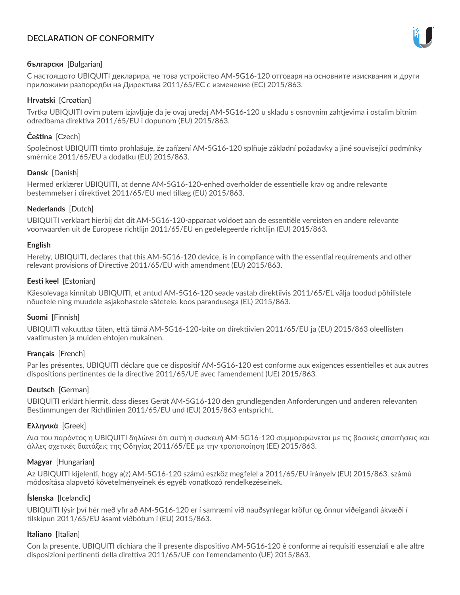# **DECLARATION OF CONFORMITY**



## **български** [Bulgarian]

С настоящото UBIQUITI декларира, че това устройство AM-5G16-120 отговаря на основните изисквания и други приложими разпоредби на Директива 2011/65/ЕС с изменение (ЕС) 2015/863.

## **Hrvatski** [Croatian]

Tvrtka UBIQUITI ovim putem izjavljuje da je ovaj uređaj AM-5G16-120 u skladu s osnovnim zahtjevima i ostalim bitnim odredbama direktiva 2011/65/EU i dopunom (EU) 2015/863.

# **Čeština** [Czech]

Společnost UBIQUITI tímto prohlašuje, že zařízení AM-5G16-120 splňuje základní požadavky a jiné související podmínky směrnice 2011/65/EU a dodatku (EU) 2015/863.

### **Dansk** [Danish]

Hermed erklærer UBIQUITI, at denne AM-5G16-120-enhed overholder de essentielle krav og andre relevante bestemmelser i direktivet 2011/65/EU med tillæg (EU) 2015/863.

### **Nederlands** [Dutch]

UBIQUITI verklaart hierbij dat dit AM-5G16-120-apparaat voldoet aan de essentiële vereisten en andere relevante voorwaarden uit de Europese richtlijn 2011/65/EU en gedelegeerde richtlijn (EU) 2015/863.

#### **English**

Hereby, UBIQUITI, declares that this AM-5G16-120 device, is in compliance with the essential requirements and other relevant provisions of Directive 2011/65/EU with amendment (EU) 2015/863.

### **Eesti keel** [Estonian]

Käesolevaga kinnitab UBIQUITI, et antud AM-5G16-120 seade vastab direktiivis 2011/65/EL välja toodud põhilistele nõuetele ning muudele asjakohastele sätetele, koos parandusega (EL) 2015/863.

## **Suomi** [Finnish]

UBIQUITI vakuuttaa täten, että tämä AM-5G16-120-laite on direktiivien 2011/65/EU ja (EU) 2015/863 oleellisten vaatimusten ja muiden ehtojen mukainen.

#### **Français** [French]

Par les présentes, UBIQUITI déclare que ce dispositif AM-5G16-120 est conforme aux exigences essentielles et aux autres dispositions pertinentes de la directive 2011/65/UE avec l'amendement (UE) 2015/863.

## **Deutsch** [German]

UBIQUITI erklärt hiermit, dass dieses Gerät AM-5G16-120 den grundlegenden Anforderungen und anderen relevanten Bestimmungen der Richtlinien 2011/65/EU und (EU) 2015/863 entspricht.

#### **Ελληνικά** [Greek]

Δια του παρόντος η UBIQUITI δηλώνει ότι αυτή η συσκευή AM-5G16-120 συμμορφώνεται με τις βασικές απαιτήσεις και άλλες σχετικές διατάξεις της Οδηγίας 2011/65/ΕΕ με την τροποποίηση (ΕΕ) 2015/863.

## **Magyar** [Hungarian]

Az UBIQUITI kijelenti, hogy a(z) AM-5G16-120 számú eszköz megfelel a 2011/65/EU irányelv (EU) 2015/863. számú módosítása alapvető követelményeinek és egyéb vonatkozó rendelkezéseinek.

#### **Íslenska** [Icelandic]

UBIQUITI lýsir því hér með yfir að AM-5G16-120 er í samræmi við nauðsynlegar kröfur og önnur viðeigandi ákvæði í tilskipun 2011/65/EU ásamt viðbótum í (EU) 2015/863.

#### **Italiano** [Italian]

Con la presente, UBIQUITI dichiara che il presente dispositivo AM-5G16-120 è conforme ai requisiti essenziali e alle altre disposizioni pertinenti della direttiva 2011/65/UE con l'emendamento (UE) 2015/863.